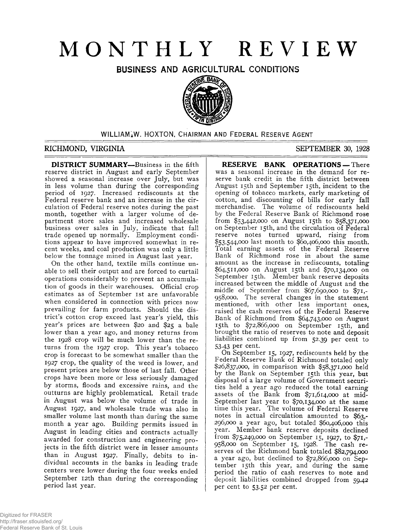# **MONTHLY REVIEW**

**BUSINESS AND AGRICULTURAL CONDITIONS**



**WILLIAM^W. HOXTON, CHAIRMAN AND FEDERAL RESERVE AGENT**

### **RICHMOND, VIRGINIA SEPTEMBER 30, 1928**

**DISTRICT SUMMARY—**Business in the fifth reserve district in August and early September showed a seasonal increase over July, but was in less volume than during the corresponding period of 1927. Increased rediscounts at the Federal reserve bank and an increase in the circulation of Federal reserve notes during the past month, together with a larger volume of department store sales and increased wholesale business over sales in July, indicate that fall trade opened up normally. Employment conditions appear to have improved somewhat in recent weeks, and coal production was only a little below the tonnage mined in August last year.

On the other hand, textile mills continue unable to sell their output and are forced to curtail operations considerably to prevent an accumulation of goods in their warehouses. Official crop estimates as of September 1st are unfavorable when considered in connection with prices now prevailing for farm products. Should the district's cotton crop exceed last year's yield, this year's prices are between \$20 and \$25 a bale lower than a year ago, and money returns from the 1928 crop will be much lower than the returns from the 1927 crop. This year's tobacco crop is forecast to be somewhat smaller than the 1927 crop, the quality of the weed is lower, and present prices are below those of last fall. Other crops have been more or less seriously damaged by storms, floods and excessive rains, and the outturns are highly problematical. Retail trade in August was below the volume of trade in August 1927, and wholesale trade was also in smaller volume last month than during the same month a year ago. Building permits issued in August in leading cities and contracts actually awarded for construction and engineering projects in the fifth district were in lesser amounts than in August 1927. Finally, debits to individual accounts in the banks in leading trade centers were lower during the four weeks ended September 12th than during the corresponding period last year.

**RESERVE BANK OPERATIONS** — There was a seasonal increase in the demand for reserve bank credit in the fifth district between August 15th and September 15th, incident to the opening of tobacco markets, early marketing of cotton, and discounting of bills for early fall merchandise. The volume of rediscounts held by the Federal Reserve Bank of Richmond rose from \$53,442,000 on August 15th to \$58,371,000 on September 15th, and the circulation of Federal reserve notes turned upward, rising from \$53,544,000 last month to \$60,406,000 this month. Total earning assets of the Federal Reserve Bank of Richmond rose in about the same amount as the increase in rediscounts, totaling \$64,511,000 on August 15th and \$70,134,000 on September 15th. Member bank reserve deposits increased between the middle of August and the middle of September from \$67,690,000 to \$71,- 958,000. The several changes in the statement mentioned, with other less important ones, raised the cash reserves of the Federal Reserve Bank of Richmond from \$64,743,000 on August 15th to \$72,866,000 on September 15th, and brought the ratio of reserves to note and deposit liabilities combined up from 52.39 per cent to 53-43 per cent.

On September 15, 1927, rediscounts held by the Federal Reserve Bank of Richmond totaled only *^26,8^yyooo}* in comparison with \$58,371,000 held by the Bank on September 15th this year, but disposal of a large volume of Government securities held a year ago reduced the total earning assets of the Bank from \$71,614,000 at mid-September last year to \$70,134,000 at the same time this year. The volume of Federal Reserve notes in actual circulation amounted to \$63,- 296.000 a year ago, but totaled \$60,406,000 this year. Member bank reserve deposits declined from \$75,249,000 on September 15, 1927, to \$71,- 958.000 on September 15, 1928. The cash reserves of the Richmond bank totaled \$82,794,000 a year ago, but declined to \$72,866,000 on September 15th this year, and during the same period the ratio of cash reserves to note and deposit liabilities combined dropped from 59.42 per cent to 53.52 per cent.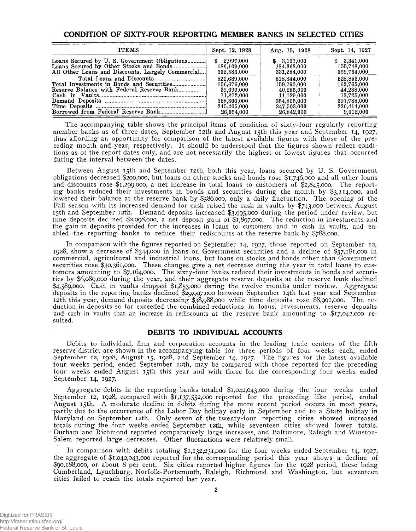#### **CONDITION OF SIXTY-FOUR REPORTING MEMBER BANKS IN SELECTED CITIES**

| <b>ITEMS</b>                                      | Sept. 12, 1928 | Aug. 15, 1928 | Sept. 14, 1927 |
|---------------------------------------------------|----------------|---------------|----------------|
| Loans Secured by U.S. Government Obligations      | \$2.997,000    | \$3,197,000   | \$3.341.000    |
|                                                   | 186,109,000    | 184,363,000   | 155,748,000    |
| All Other Loans and Discounts, Largely Commercial | 332,583,000    | 331,284,000   | 369,764,000    |
|                                                   | 521.689.000    | 518,844,000   | 528,853,000    |
|                                                   | 156.676.000    | 159.790.000   | 162.765.000    |
| Reserve Balance with Federal Reserve Bank         | 39,699,000     | 40.285.000    | 44,288,000     |
|                                                   | 11.872.000     | 11.129.000    | 13.725.000     |
|                                                   | 358.800.000    | 354,805,000   | 397.788.000    |
|                                                   | 245,405,000    | 247,503,000   | 236,414,000    |
|                                                   | 26,054,000     | 26,842,000    | 9,012,000      |

The accompanying table shows the principal items of condition of sixty-four regularly reporting member banks as of three dates, September 12th and August 15th this year and September 14, 1927, thus affording an opportunity for comparison of the latest available figures with those of the preceding month and year, respectively. It should be understood that the figures shown reflect conditions as of the report dates only, and are not necessarily the highest or lowest figures that occurred during the interval between the dates.

Between August 15th and September 12th, both this year, loans secured by U. S. Government obligations decreased \$200,000, but loans on other stocks and bonds rose \$1,746,000 and all other loans and discounts rose \$1,299,000, a net increase in total loans to customers of \$2,845,000. The reporting banks reduced their investments in bonds and securities during the month by \$3,114,000, and lowered their balance at the reserve bank by \$586,000, only a daily fluctuation. The opening of the Fall season with its increased demand for cash raised the cash in vaults by \$743,000 between August 15th and September 12th. Demand deposits increased \$3,995,000 during the period under review, but time deposits declined \$2,098,000, a net deposit gain of \$1,897,000. The reduction in investments and the gain in deposits provided for the increases in loans to customers and in cash in vaults, and enabled the reporting banks to reduce their rediscounts at the reserve bank by \$788,000.

In comparison with the figures reported on September 14, 1927, those reported on September 12, 1928, show a decrease of \$344,000 in loans on Government securities and a decline of \$37,181,000 in commercial, agricultural and industrial loans, but loans on stocks and bonds other than Government securities rose \$30,361,000. These changes give a net decrease during the year in total loans to customers amounting to \$7,164,000. The sixty-four banks reduced their investments in bonds and securities by \$6,089,000 during the year, and their aggregate reserve deposits at the reserve bank declined \$4,589,000. Cash in vaults dropped \$1,853,000 during the twelve months under review. Aggregate deposits in the reporting banks declined \$29,997,000 between September 14th last year and September 12th this year, demand deposits decreasing \$38,988,000 while time deposits rose \$8,991,000. The reduction in deposits so far exceeded the combined reductions in loans, investments, reserve deposits and cash in vaults that an increase in rediscounts at the reserve bank amounting to \$17,042,000 resulted.

#### **DEBITS TO INDIVIDUAL ACCOUNTS**

Debits to individual, firm and corporation accounts in the leading trade centers of the fifth reserve district are shown in the accompanying table for three periods of four weeks each, ended September 12, 1928, August 15, 1928, and September 14, 1927. The figures for the latest available four weeks period, ended September 12th, may be compared with those reported for the preceding four weeks ended August 15th this year and with those for the corresponding four weeks ended September 14, 1927.

Aggregate debits in the reporting banks totaled \$1,042,043,000 during the four weeks ended September 12, 1928, compared with \$1,137,552,000 reported for the preceding like period, ended August 15th. A moderate decline in debits during the more recent period occurs in most years, partly due to the occurrence of the Labor Day holiday early in September and to a State holiday in Maryland on September 12th. Only seven of the twenty-four reporting cities showed increased totals during the four weeks ended September 12th, while seventeen cities showed lower totals. Durham and Richmond reported comparatively large increases, and Baltimore, Raleigh and Winston-Salem reported large decreases. Other fluctuations were relatively small.

In comparison with debits totaling \$1,132,231,000 for the four weeks ended September 14, 1927, the aggregate of \$1,042,043,000 reported for the corresponding period this year shows a decline of \$90,188,000, or about 8 per cent. Six cities reported higher figures for the 1928 period, these being Cumberland, Lynchburg, Norfolk-Portsmouth, Raleigh, Richmond and Washington, but seventeen cities failed to reach the totals reported last year.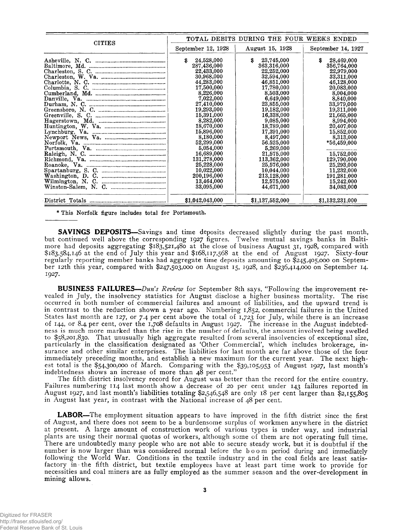| <b>CITIES</b> |                    | TOTAL DEBITS DURING THE FOUR WEEKS ENDED |                    |
|---------------|--------------------|------------------------------------------|--------------------|
|               | September 12, 1928 | August 15, 1928                          | September 14, 1927 |
|               | 24,528,000<br>\$   | S.<br>23,745,000                         | \$<br>28,469,000   |
|               | 287,436,000        | 363,316,000                              | 356,764,000        |
|               | 22,433,000         | 22,252,000                               | 22,979,000         |
|               | 30,968,000         | 32,594,000                               | 33,311,000         |
|               | 44,283,000         | 46,851,000                               | 46,128,000         |
|               | 17,500,000         | 17,780,000                               | 20,083,000         |
|               | 8,226,000          | 8,503,000                                | 8,004,000          |
|               | 7,022,000          | 6.649.000                                | 8,840,000          |
|               | 27,410,000         | 23,855,000                               | 33,979,000         |
|               | 19,293,000         | 19,182,000                               | 19,311,000         |
|               | 15,391,000         | 16,338,000                               | 21,665,000         |
|               | 8,282,000          | 9,085,000                                | 8,994,000          |
|               | 18,670,000         | 18,789,000                               | 20,407,000         |
|               | 15,896,000         | 17,391,000                               | 15,852,000         |
|               | 8,180,000          | 8,497,000                                | 8,313,000          |
|               | 52,299,000         | 56,525,000                               | *56,459,000        |
|               | 5,054,000          | 5,269,000                                |                    |
|               | 16,689,000         | 21,575,000                               | 15,752,000         |
|               | 131,278,000        | 113,362,000                              | 129,790,000        |
|               | 25,228,000         | 25,576,000                               | 25,293,000         |
|               | 10.022.000         | 10,044,000                               | 11,232,000         |
|               | 200,196,000        | 213,128,000                              | 191,281,000        |
|               | 13,464,000         | 12,575,000                               | 15,242,000         |
|               | 33,095,000         | 44,671,000                               | 34,083,000         |
|               |                    |                                          |                    |
|               | \$1,042,043,000    | \$1,137,552,000                          | \$1,132,231,000    |

\* This Norfolk figure includes total for Portsmouth.

**SAVINGS DEPOSITS—**Savings and time deposits decreased slightly during the past month, but continued well above the corresponding 1927 figures. Twelve mutual savings banks in Baltimore had deposits aggregating \$183,521,480 at the close of business August 31, 1928, compared with \$183,584,146 at the end of July this year and \$168,117,568 at the end of August 1927. Sixty-four regularly reporting member banks had aggregate time deposits amounting to \$245,405,000 on September 12th this year, compared with \$247,503,000 on August 15, 1928, and \$236,414,000 on September 14, 1927-

**BUSINESS FAILURES**—*Dun's Review* for September 8th says, "Following the improvement revealed in July, the insolvency statistics for August disclose a higher business mortality. The rise occurred in both number of commercial failures and amount of liabilities, and the upward trend is in contrast to the reduction shown a year ago. Numbering 1,852, commercial failures in the United States last month are 127, or 7.4 per cent above the total of 1,723 for July, while there is an increase of 144, or 8.4 per cent, over the 1,708 defaults in August 1927. The increase in the August indebtedness is much more marked than the rise in the number of defaults, the amount involved being swelled to \$58,201,830. That unusually high aggregate resulted from several insolvencies of exceptional size, particularly in the classification designated as 'Other Commercial', which includes brokerage, insurance and other similar enterprises. The liabilities for last month are far above those of the four immediately preceding months, and establish a new maximum for the current year. The next highest total is the \$54,300,000 of March. Comparing with the \$39,105,953 of August 1927, last month's indebtedness shows an increase of more than 48 per cent.'

The fifth district insolvency record for August was better than the record for the entire country. Failures numbering 114 last month show a decrease of 20 per cent under 143 failures reported in August 1927, and last month's liabilities totaling \$2,546,548 are only 18 per cent larger than \$2,155,805 in August last year, in contrast with the National increase of 48 per cent.

**LABOR**—The employment situation appears to have improved in the fifth district since the first of August, and there does not seem to be a burdensome surplus of workmen anywhere in the district at present. A large amount of construction work of various types is under way, and industrial plants are using their normal quotas of workers, although some of them are not operating full time. There are undoubtedly many people who are not able to secure steady work, but it is doubtful if the number is now larger than was considered normal before the boom period during and immediately following the World War. Conditions in the textile industry and in the coal fields are least satisfactory in the fifth district, but textile employees have at least part time work to provide for necessities and coal miners are as fully employed as the summer season and the over-development in mining allows.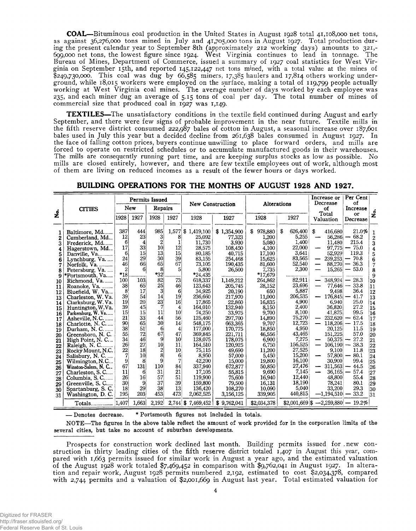**COAL** —Bituminous coal production in the United States in August 1928 total 41,108,000 net tons, as against 36,276,000 tons mined in July and 41,705,000 tons in August 1927. Total production during the present calendar year to September 8th (approximately 212 working days) amounts to 321,- 699,000 net tons, the lowest figure since 1924. West Virginia continues to lead in tonnage. The Bureau of Mines, Department of Commerce, issued a summary of 1927 coal statistics for West Virginia on September 15th, and reported 145,122,447 net tons mined, with a total value at the mines of \$249,730,000. This coal was dug by 66,585 miners, 17,385 haulers and 17,814 others working underground, while 18,015 workers were employed on the surface, making a total of 119,799 people actually working at West Virginia coal mines. The average number of days worked by each employee was 235, and each miner dug an average of 5.15 tons of coal per day. The total number of mines of commercial size that produced coal in 1927 was 1,149.

**TEXTILES**—The unsatisfactory conditions in the textile field continued during August and early September, and there were few signs of probable improvement in the near future. Textile mills in the fifth reserve district consumed 222,987 bales of cotton in August, a seasonal increase over 187,601 bales used in July this year but a decided decline from 261,638 bales consumed in August 1927. In the face of falling cotton prices, buyers continue unwilling to place forward orders, and mills are forced to operate on restricted schedules or to accumulate manufactured goods in their warehouses. The mills are consequently running part time, and are keeping surplus stocks as low as possible. No mills are closed entirely, however, and there are few textile employees out of work, although most of them are living on reduced incomes as a result of the fewer hours or days worked.

|                                                                                                                                                          |                                                                                                                                                                                                                                                                                                                                                                                                                                                                                                                                                                                         |                                                                                                                                                                                                                                     |                                                                                                                                                                          | Permits Issued                                                                                                                                                                                                           |                                                                                                                                                                                                        |                                                                                                                                                                                                                                                                                                                                       |                                                                                                                                                                                                                                                                                                                     | <b>Alterations</b>                                                                                                                                                                                                                                                                                     |                                                                                                                                                                                                                                                                                                | Increase or   Per Cent<br>Decrease        |                                                                                                                                                                                                                                                                                                          | οf                                                                                                                                                                                                                                                             |                                                                                                                                                                                        |
|----------------------------------------------------------------------------------------------------------------------------------------------------------|-----------------------------------------------------------------------------------------------------------------------------------------------------------------------------------------------------------------------------------------------------------------------------------------------------------------------------------------------------------------------------------------------------------------------------------------------------------------------------------------------------------------------------------------------------------------------------------------|-------------------------------------------------------------------------------------------------------------------------------------------------------------------------------------------------------------------------------------|--------------------------------------------------------------------------------------------------------------------------------------------------------------------------|--------------------------------------------------------------------------------------------------------------------------------------------------------------------------------------------------------------------------|--------------------------------------------------------------------------------------------------------------------------------------------------------------------------------------------------------|---------------------------------------------------------------------------------------------------------------------------------------------------------------------------------------------------------------------------------------------------------------------------------------------------------------------------------------|---------------------------------------------------------------------------------------------------------------------------------------------------------------------------------------------------------------------------------------------------------------------------------------------------------------------|--------------------------------------------------------------------------------------------------------------------------------------------------------------------------------------------------------------------------------------------------------------------------------------------------------|------------------------------------------------------------------------------------------------------------------------------------------------------------------------------------------------------------------------------------------------------------------------------------------------|-------------------------------------------|----------------------------------------------------------------------------------------------------------------------------------------------------------------------------------------------------------------------------------------------------------------------------------------------------------|----------------------------------------------------------------------------------------------------------------------------------------------------------------------------------------------------------------------------------------------------------------|----------------------------------------------------------------------------------------------------------------------------------------------------------------------------------------|
|                                                                                                                                                          | <b>CITIES</b>                                                                                                                                                                                                                                                                                                                                                                                                                                                                                                                                                                           |                                                                                                                                                                                                                                     | New                                                                                                                                                                      | Repairs                                                                                                                                                                                                                  |                                                                                                                                                                                                        | <b>New Construction</b>                                                                                                                                                                                                                                                                                                               |                                                                                                                                                                                                                                                                                                                     |                                                                                                                                                                                                                                                                                                        |                                                                                                                                                                                                                                                                                                |                                           | οf                                                                                                                                                                                                                                                                                                       | Increase                                                                                                                                                                                                                                                       |                                                                                                                                                                                        |
| ż                                                                                                                                                        |                                                                                                                                                                                                                                                                                                                                                                                                                                                                                                                                                                                         | 1928                                                                                                                                                                                                                                | 1927                                                                                                                                                                     | 1928                                                                                                                                                                                                                     | 1927                                                                                                                                                                                                   | 1928                                                                                                                                                                                                                                                                                                                                  | 1927                                                                                                                                                                                                                                                                                                                | 1928                                                                                                                                                                                                                                                                                                   | 1927                                                                                                                                                                                                                                                                                           |                                           | Total<br>Valuation                                                                                                                                                                                                                                                                                       | or<br>Decrease                                                                                                                                                                                                                                                 | ż                                                                                                                                                                                      |
| 2<br>3<br>6<br>7<br>8<br>9<br>10<br>11<br>12<br>13<br>14<br>15<br>16<br>17<br>18<br>19<br>20<br>21<br>22<br>23<br>24<br>25<br>26<br>27<br>28<br>29<br>30 | Baltimore, Md<br>Cumberland, Md<br>Frederick, Md<br>Hagerstown, Md<br>Danville, Va<br>Lynchburg, Va.<br>Norfolk. Va.<br>Petersburg, Va.<br>*Portsmouth, Va<br>Richmond, Va<br>Roanoke, Va.<br>Bluefield, W. Va<br>Charleston, W. Va.<br>Clarksburg, W. Va.<br>Huntington, W.Va.<br>Parkersburg, W. Va<br>Asheville, N.C<br>Charlotte, N. C<br>Durham, N. C<br>Greensboro, N.C.<br>High Point, N. C<br>Raleigh, N. $C$<br>Rocky Mount, N.C.<br>Salisbury, N. C.<br>Wilmington, N.C<br>Winston-Salem, N. C.<br>Charleston, S.C<br>Columbia, S.C<br>Greenville, S. C<br>Spartanburg, S. C. | 387<br>12<br>6<br>17<br>6<br>24<br>46<br>2<br>$*18$<br>100<br>38<br>8 <sup>1</sup><br>39 <sup>1</sup><br>19 <sup>°</sup><br>39<br>15 <sup>1</sup><br>21<br>90<br>38<br>55<br>34<br>26<br>22<br>7<br>9<br>67<br>11<br>26<br>30<br>18 | 444<br>23<br>4<br>33<br>15<br>29<br>66<br>6<br>103<br>65<br>17<br>54<br>20<br>45<br>15<br>33<br>65<br>51<br>72<br>46<br>27<br>18<br>10<br>8<br>131<br>6<br>16<br>9<br>29 | 985<br>3<br>$\overline{2}$<br>10 <sup>1</sup><br>13<br>30<br>65<br>8<br>$*32$<br>82<br>25<br>3<br>14<br>23<br>11<br>44<br>30<br>6<br>67<br>9<br>10 <sub>1</sub><br>$\mathbf{2}$<br>8<br>9<br>110<br>31<br>57<br>37<br>38 | 81<br>1<br>12<br>15 <sup>5</sup><br>39<br>67<br>51<br>73<br>46<br>6<br>19<br>16<br>4<br>10 <sup>1</sup><br>56<br>14<br>4<br>47<br>10 <sup>1</sup><br>11.<br>10<br>6<br>7<br>84<br>21<br>51<br>39<br>13 | $1,577$ \$ 1,419,100<br>25,092<br>11,730<br>28,575<br>80,185<br>83,155<br>73,105<br>5,800<br>$*24,435$<br>618,337<br>123,643<br>34,925<br>236,660<br>17,865<br>164,010<br>74,250<br>125,460<br>548,175<br>177,000<br>369,845<br>128,075<br>164,510<br>75,115<br>8,950<br>42,200<br>337,940<br>17,105<br>119,900<br>159,800<br>136.420 | \$1,354,900<br>77,323<br>3,930<br>108,450<br>40,715<br>254,468<br>190,435<br>26,500<br>1,149,212<br>205,745<br>20,190<br>217,970<br>22,860<br>132,940<br>33,975<br>297,700<br>663,365<br>170,775<br>221,711<br>178,075<br>120,925<br>49,690<br>57,000<br>15,000<br>672,877<br>55,815<br>75,600<br>79,500<br>108,270 | \$.<br>978,880<br>1.200<br>5,080<br>4.100<br>17,100<br>15,625<br>81,600<br>7,735<br>$*17,679$<br>264,862<br>28,152<br>650<br>11,000<br>16,835<br>8,150<br>9,700<br>14,890<br>9.707<br>18,850<br>46.556<br>6,900<br>6,750<br>11,200<br>5,450<br>19,800<br>50,850<br>9,690<br>16,940<br>16.131<br>10,090 | 626,400<br>S<br>5,255<br>1.400<br>22,000<br>3,641<br>83,565<br>52,540<br>2,300<br><br>82,911<br>23,696<br>5,887<br>206,535<br>4,900<br>2,400<br>8,100<br>75,270<br>12,723<br>4,950<br>43,465<br>7,275<br>156,525<br>27,525<br>15,200<br>16,100<br>27,476<br>7,145<br>12,440<br>18,190<br>5.040 | S<br>--<br>$\overline{\phantom{0}}$<br>-- | 416,680<br>56,286<br>11,480<br>97,775<br>52,929<br>239,253<br>88,270<br>15.265<br>348,924<br>77.646<br>9,498<br>176.845<br>6,940<br>36,820<br>41,875<br>232,620<br>$118,206$ –<br>20.125<br>151,225<br>50,375<br>106,190<br>9.100<br>57,800<br>30,900<br>311,563<br>36.165<br>48,800<br>78,241<br>33,200 | 21.0%<br>$-68.2$<br>215.4<br>$-75.0$<br>119.3<br>$-70.8$<br>$-36.3$<br>$-53.0$<br>$-28.3$<br>33.8<br>-<br>36.4<br>41.7<br>25.0<br>27.2<br>99.5<br>62.4<br>17.5<br>11.5<br>57.0<br>27.2<br>38.3<br>11.8<br>80.1<br>99.4<br>44.5<br>57.4<br>55.4<br>80.1<br>29.3 | 1<br>$\boldsymbol{2}$<br>3<br>4<br>5<br>6<br>7<br>8<br>9<br>10<br>11<br>12<br>13<br>14<br>15<br>16<br>17<br>18<br>19<br>20<br>21<br>22<br>23<br>24<br>25<br>26<br>27<br>28<br>29<br>30 |
| 31                                                                                                                                                       | Washington, D. C.<br>Totals  1,407                                                                                                                                                                                                                                                                                                                                                                                                                                                                                                                                                      | 195                                                                                                                                                                                                                                 | 203<br>1,663                                                                                                                                                             | 453<br>2,192                                                                                                                                                                                                             | 473                                                                                                                                                                                                    | 2,062,525<br>$2,744$ \$ 7,469,452                                                                                                                                                                                                                                                                                                     | 3,156,125<br>\$9,762,041                                                                                                                                                                                                                                                                                            | 339,905<br>\$2,034,378                                                                                                                                                                                                                                                                                 | 440,815<br>$$2,001,669$ $$-2,259,880$ $-19.2\%$                                                                                                                                                                                                                                                |                                           | $-1,194,510$ $-$                                                                                                                                                                                                                                                                                         | 33.2                                                                                                                                                                                                                                                           | 31                                                                                                                                                                                     |

#### **BUILDING OPERATIONS FOR THE MONTHS OF AUGUST 1928 AND 1927.**

— Denotes decrease. \* Portsmouth figures not included in totals.

.NOTE— The figures in the above table reflect the amount of work provided for in the corporation limits of the several cities, but take no account of suburban developments.

Prospects for construction work declined last month. Building permits issued for , new construction in thirty leading cities of the fifth reserve district totaled 1,407 in August this year, compared with 1,663 permits issued for similar work in August a year ago, and the estimated valuation of the August 1928 work totaled \$7,469,452 in comparison with \$9,762,041 in August 1927. In alteration and repair work, August 1928 permits numbered 2,192, estimated to cost \$2,034,378, compared with 2,744 permits and a valuation of \$2,001,669 in August last year. Total estimated valuation for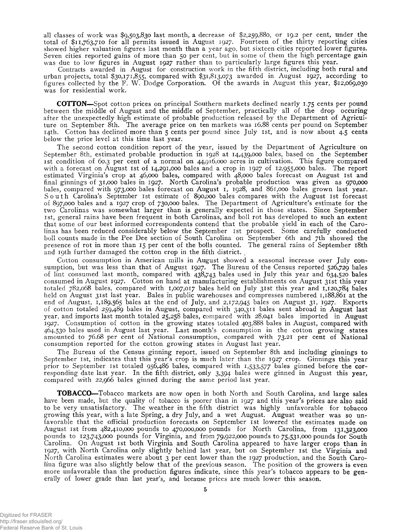all classes of work was \$9,503,830 last month, a decrease of \$2,259,880, or 19.2 per cent, under the total of \$11,763,710 for all permits issued in August 1927. Fourteen of the thirty reporting cities showed higher valuation figures last month than a year ago, but sixteen cities reported lower figures. Seven cities reported gains of more than 50 per cent, but in some of them the high percentage gain was due to low figures in August 1927 rather than to particularly large figures this year.

Contracts awarded in August for construction work in the fifth district, including both rural and urban projects, total \$30,171,855, compared with \$31,813,073 awarded in August 1927, according to figures collected by the F. W. Dodge Corporation. Of the awards in August this year, \$12,069,030 was for residential work.

**COTTON**—Spot cotton prices on principal Southern markets declined nearly 1.75 cents per pound between the middle of August and the middle of September, practically all of the drop occuring after the unexpectedly high estimate of probable production released by the Department of Agriculture on September 8th. The average price on ten markets was 16.88 cents per pound on September 14th. Cotton has declined more than 5 cents per pound since July 1st, and is now about 4.5 cents below the price level at this time last year.

The second cotton condition report of the year, issued by the Department of Agriculture on September 8th, estimated probable production in 1928 at 14,439,000 bales, based on the September 1st condition of 60.3 per cent of a normal on 44,916,000 acres in cultivation. This figure compared with a forecast on August 1st of 14,291,000 bales and a crop in 1927 of 12,955,000 bales. The report estimated Virginia's crop at 46,000 bales, compared with 48,000 bales forecast on August 1st and final ginnings of 31,000 bales in 1927. North Carolina's probable production was given as 970,000 bales, compared with 973,000 bales forecast on August 1, 1928, and 861,000 bales grown last year. South Carolina's September 1st estimate of 890,000 bales compares with the August 1st forecast of 897,000 bales and a 1927 crop of 730,000 bales. The Department of Agriculture's estimate for the two Carolinas was somewhat larger than is generally expected in those states. Since September 1st, general rains have been frequent in both Carolinas, and boll rot has developed to such an extent that some of our best informed correspondents contend that the probable yield in each of the Carolinas has been reduced considerably below the September 1st prospect. Some carefully conducted boll counts made in the Pee Dee section of South Carolina on September 6th and 7th showed the presence of rot in more than 15 per cent of the bolls counted. The general rains of September 18th and 19th further damaged the cotton crop in the fifth district.

Cotton consumption in American mills in August showed a seasonal increase over July consumption, but was less than that of August 1927. The Bureau of the Census reported 526,729 bales of lint consumed last month, compared with 438,743 bales used in July this year and 634,520 bales consumed in August 1927. Cotton on hand at manufacturing establishments on August 31st this year totaled 782,068 bales, compared with 1,007,017 bales held on July 31st this year and 1,120,784 bales held on August 31st last year. Bales in public warehouses and compresses numbered 1,188,861 at the end of August, 1,189,565 bales at the end of July, and 2,172,945 bales on August 31, 1927. Exports of cotton totaled 259,489 bales in August, compared with 340,311 bales sent abroad in August last year, and imports last month totaled 25,258 bales, compared with 28,041 bales imported in August 1927. Consumption of cotton in the growing states totaled 403,888 bales in August, compared with 464,530 bales used in August last year. Last month's consumption in the cotton growing states amounted to 76.68 per cent of National consumption, compared with 73.21 per cent of National consumption reported for the cotton growing states in August last year.

The Bureau of the Census ginning report, issued on September 8th and including ginnings to September 1st, indicates that this year's crop is much later than the 1927 crop. Ginnings this year prior to September 1st totaled 956,486 bales, compared with 1,533,577 bales ginned before the corresponding date last year. In the fifth district, only 3,394 bales were ginned in August this year, compared with 22,966 bales ginned during the same period last year.

**TOBACCO**—Tobacco markets are now open in both North and South Carolina, and large sales have been made, but the quality of tobacco is poorer than in 1927 and this year's prices are also said to be very unsatisfactory. The weather in the fifth district was highly unfavorable for tobacco growing this year, with a late Spring, a dry July, and a wet August. August weather was so unfavorable that the official production forecasts on September 1st lowered the estimates made on August 1st from 482,410,000 pounds to 470,000,000 pounds for North Carolina, from 131,323,000 pounds to 123,743,000 pounds for Virginia, and from 79,922,000 pounds to 75,531,000 pounds for South Carolina. On August 1st both Virginia and South Carolina appeared to have larger crops than in 1927, with North Carolina only slightly behind last year, but on September 1st the Virginia and North Carolina estimates were about 3 per cent lower than the 1927 production, and the South Carolina figure was also slightly below that of the previous season. The position of the growers is even more unfavorable than the production figures indicate, since this year's tobacco appears to be generally of lower grade than last year's, and because prices are much lower this season.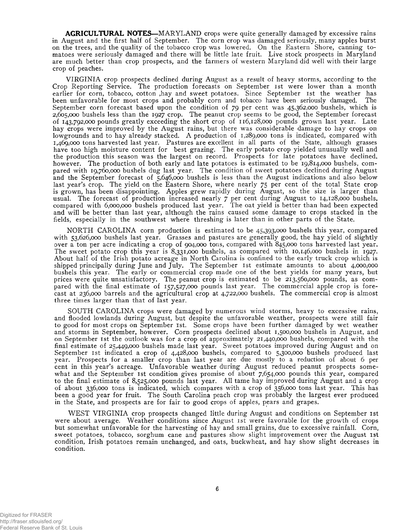**AGRICULTURAL NOTES**—MARYLAND crops were quite generally damaged by excessive rains in August and the first half of September. The corn crop was damaged seriously, many apples burst on the trees, and the quality of the tobacco crop was lowered. On the Eastern Shore, canning tomatoes were seriously damaged and there will be little late fruit. Live stock prospects in Maryland are much better than crop prospects, and the farmers of western Maryland did well with their large crop of peaches.

VIRGINIA crop prospects declined during August as a result of heavy storms, according to the Crop Reporting Service. The production forecasts on September ist were lower than a month earlier for corn, tobacco, cotton ,hay and sweet potatoes. Since September ist the weather has been unfavorable for most crops and probably corn and tobacco have been seriously damaged. The September corn forecast based upon the condition of 79 per cent was 45,362,000 bushels, which is 2.605.000 bushels less than the 1927 crop. The peanut crop seems to be good, the September forecast of 143,792,000 pounds greatly exceeding the short crop of 116,128,000 pounds grown last year. Late hay crops were improved by the August rains, but there was considerable damage to hay crops on lowgrounds and to hay already stacked. A production of 1,289,000 tons is indicated, compared with 1.469.000 tons harvested last year. Pastures are excellent in all parts of the State, although grasses have too high moisture content for best grazing. The early potato crop yielded unusually well and the production this season was the largest on record. Prospects for late potatoes have declined, however. The production of both early and late potatoes is estimated to be 19,814,000 bushels, compared with 19,760,000 bushels dug last year. The condition of sweet potatoes declined during August and the September forecast of 5,646,000 bushels is less than the August indications and also below last year's crop. The yield on the Eastern Shore, where nearly 75 per cent of the total State crop is grown, has been disappointing. Apples grew rapidly during August, so the size is larger than usual. The forecast of production increased nearly 7 per cent during August to 14,128,000 bushels, compared with 6,000,000 bushels produced last year. The oat yield is better than had been expected and will be better than last year, although the rains caused some damage to crops stacked in the fields, especially in the southwest where threshing is later than in other parts of the State.

NORTH CAROLINA corn production is estimated to be 45,393,000 bushels this year, compared with 53,626,000 bushels last year. Grasses and pastures are generally good, the hay yield of slightly over a ton per acre indicating a crop of 904,000 tons, compared with 845,000 tons harvested last year. The sweet potato crop this year is 8,331,000 bushels, as compared with 10,146,000 bushels in 1927. About half of the Irish potato acreage in North Carolina is confined to the early truck crop which is shipped principally during June and July. The September ist estimate amounts to about 4,000,000 bushels this year. The early or commercial crop made one of the best yields for many years, but prices were quite unsatisfactory. The peanut crop is estimated to be 213,560,000 pounds, as compared with the final estimate of 157,527,000 pounds last year. The commercial apple crop is forecast at 236,000 barrels and the agricultural crop at 4,722,000 bushels. The commercial crop is almost three times larger than that of last year.

SOUTH CAROLINA crops were damaged by numerous wind storms, heavy to excessive rains, and flooded lowlands during August, but despite the unfavorable weather, prospects were still fair to good for most crops on September ist. Some crops have been further damaged by wet weather and storms in September, however. Corn prospects declined about 1,500,000 bushels in August, and on September ist the outlook was for a crop of approximately 21,440,000 bushels, compared with the final estimate of 25,449,000 bushels made last year. Sweet potatoes improved during August and on September ist indicated a crop of 4,428,000 bushels, compared to 5,300,000 bushels produced last year. Prospects for a smaller crop than last year are due mostly to a reduction of about 6 per cent in this year's acreage. Unfavorable weather during August reduced peanut prospects somewhat and the September ist condition gives promise of about 7,654,000 pounds this year, compared to the final estimate of 8,525,000 pounds last year. All tame hay improved during August and a crop of about 336,000 tons is indicated, which compares with a crop of 356,000 tons last year. This has been a good year for fruit. The South Carolina peach crop was probably the largest ever produced in the State, and prospects are for fair to good crops of apples, pears and grapes.

WEST VIRGINIA crop prospects changed little during August and conditions on September 1st were about average. Weather conditions since August ist were favorable for the growth of crops but somewhat unfavorable for the harvesting of hay and small grains, due to excessive rainfall. Corn, sweet potatoes, tobacco, sorghum cane and pastures show slight improvement over the August ist condition, Irish potatoes remain unchanged, and oats, buckwheat, and hay show slight decreases in condition.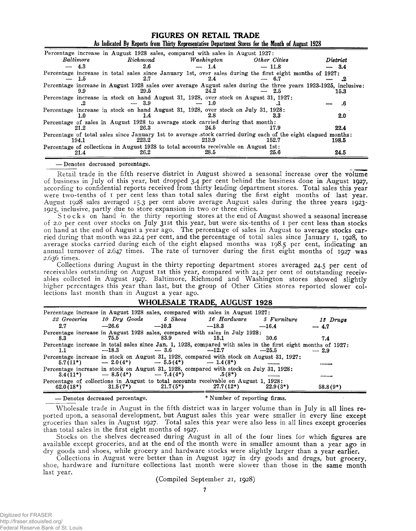#### **FIGURES ON RETAIL TRADE As Indicated By Reports from Thirty Representative Department Stores for the Month of August 1928**

|           | Percentage increase in August 1928 sales, compared with sales in August 1927:                                           |            |              |          |
|-----------|-------------------------------------------------------------------------------------------------------------------------|------------|--------------|----------|
| Baltimore | Richmond                                                                                                                | Washington | Other Cities | District |
| $-4.3$    | 2.6                                                                                                                     | $-1.4$     | $-11.8$      | - 3.4    |
| -1.5      | Percentage increase in total sales since January 1st, over sales during the first eight months of 1927:<br>2.7          | $2.4\,$    | -6.7         |          |
| 9.9       | Percentage increase in August 1928 sales over average August sales during the three years 1923-1925, inclusive:<br>29.5 | 24.2       | -2.5         | 15.3     |
| .2        | Percentage increase in stock on hand August 31, 1928, over stock on August 31, 1927:<br>— 3.9                           |            |              | .6       |
| 1.0       | Percentage increase in stock on hand August 31, 1928, over stock on July 31, 1928:<br>1.4                               | 2.8        | 3.3          | 2.0      |
| 21.2      | Percentage of sales in August 1928 to average stock carried during that month:<br>26.3                                  | 24.5       | 17.9         | 22.4     |
| 194.1     | Percentage of total sales since January 1st to average stock carried during each of the eight elapsed months:<br>223.2  | 213.9      | 152.7        | 198.5    |
| 21.4      | Percentage of collections in August 1928 to total accounts receivable on August 1st:<br>26.2                            | 28.5       | 25.6         | 24.5     |

— Denotes decreased percentage.

Retail trade in the fifth reserve district in August showed a seasonal increase over the volume of business in July of this year, but dropped 3.4 per cent behind the business done in August 1927, according to confidential reports received from thirty leading department stores. Total sales this year were two-tenths of 1 per cent less than total sales during the first eight months of last year. August 1928 sales averaged 15.3 per cent above average August sales during the three years 1923- 1925, inclusive, partly due to store expansion in two or three cities.

Stocks on hand in the thirty reporting stores at the end of August showed a seasonal increase of 2.0 per cent over stocks on July 31st this year, but were six-tenths of 1 per cent less than stocks on hand at the end of August a year ago. The percentage of sales in August to average stocks carried during that month was 22.4 per cent, and the percentage of total sales since January i, 1928, to average stocks carried during each of the eight elapsed months was 198.5 per cent, indicating an annual turnover of 2.647 times. The rate of turnover during the first eight months of 1927 . was 2.636 times.

Collections during August in the thirty reporting department stores averaged 24.5 per cent of receivables outstanding on August 1st this year, compared with 24.2 per cent of outstanding receivables collected in August 1927. Baltimore, Richmond and Washington stores showed slightly higher percentages this year than last, but the group of Other Cities stores reported slower collections last month than in August a year ago.

#### **\_\_\_\_\_\_\_\_\_\_\_\_\_\_\_\_\_\_\_\_\_\_\_\_\_\_\_\_\_ WHOLESALE TRADE, AUGUST 1928\_\_\_\_\_\_\_\_\_ \_\_\_\_\_\_\_\_\_\_\_\_\_\_ \_\_\_\_**

|                           |             |             | Percentage increase in August 1928 sales, compared with sales in August 1927:                                            |             |            |
|---------------------------|-------------|-------------|--------------------------------------------------------------------------------------------------------------------------|-------------|------------|
| 32 Groceries 10 Dru Goods |             | 5 Shoes     | 16 Hardware                                                                                                              | 5 Furniture | 13 Drugs   |
| 2.7                       | $-26.6$     | $-10.3$     | $-18.3$                                                                                                                  | $-16.4$     | $-4.7$     |
| 8.3                       | 75.5        | 83.9        | Percentage increase in August 1928 sales, compared with sales in July 1928:<br>15.1                                      | 30.6        | 7.4        |
| 1.1                       | $-18.3$     | $-3.6$      | Percentage increase in total sales since Jan. 1, 1928, compared with sales in the first eight months of 1927:<br>$-12.7$ | $-25.5$     | $-2.9$     |
| $5.7(11*)$                | $-2.0(4^*)$ | $-5.5(4^*)$ | Percentage increase in stock on August 31, 1928, compared with stock on August 31, 1927:<br>$-1.4(8^*)$                  | --------    | -------    |
| $3.4(11*)$                | $-8.5(4^*)$ | $-7.4(4*)$  | Percentage increase in stock on August 31, 1928, compared with stock on July 31, 1928:<br>$.5(8*)$                       |             |            |
| $62.0(18*)$               | $31.5(7*)$  | $21.7(5^*)$ | Percentage of collections in August to total accounts receivable on August 1, 1928;<br>$27.7(12*)$                       | $22.9(3^*)$ | $58.8(9*)$ |

— Denotes decreased percentage. \* Number of reporting firms.

Wholesale trade in August in the fifth district was in larger volume than in July in all lines reported upon, a seasonal development, but August sales this year were smaller in every line except groceries than sales in August 1927. Total sales this year were also less in all lines except groceries than total sales in the first eight months of 1927.

Stocks on the shelves decreased during August in all of the four lines for which figures are available except groceries, and at the end of the month were in smaller amount than a year ago in dry goods and shoes, while grocery and hardware stocks were slightly larger than a year earlier.

Collections in August were better than in August 1927 in dry goods and drugs, but grocery, shoe, hardware and furniture collections last month were slower than those in the same month last year.

(Compiled September 21, 1928)